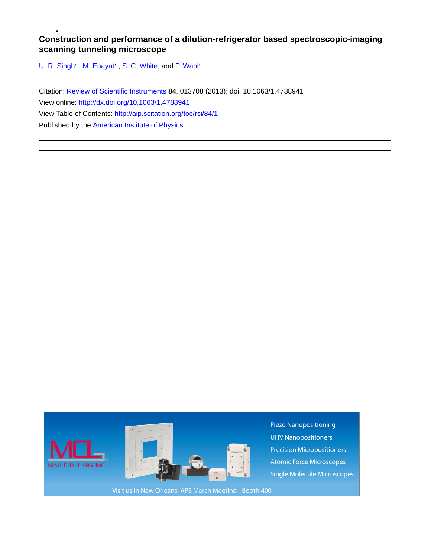## **Construction and performance of a dilution-refrigerator based spectroscopic-imaging scanning tunneling microscope**

[U. R. Singh](http://aip.scitation.org/author/Singh%2C+U+R)', M. Enayat', [S. C. White](http://aip.scitation.org/author/White%2C+S+C), and [P. Wahl](http://aip.scitation.org/author/Wahl%2C+P)'

Citation: [Review of Scientific Instruments](/loi/rsi) **84**, 013708 (2013); doi: 10.1063/1.4788941 View online: <http://dx.doi.org/10.1063/1.4788941> View Table of Contents: <http://aip.scitation.org/toc/rsi/84/1> Published by the [American Institute of Physics](http://aip.scitation.org/publisher/)

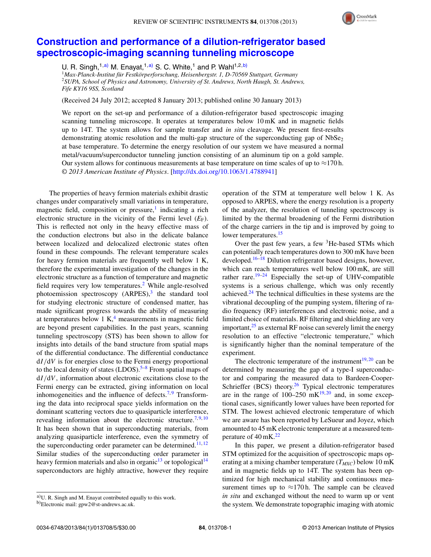

## **[Construction and performance of a dilution-refrigerator based](http://dx.doi.org/10.1063/1.4788941) [spectroscopic-imaging scanning tunneling microscope](http://dx.doi.org/10.1063/1.4788941)**

U. R. Singh,  $1, a$ ) M. Enavat,  $1, a$ ) S. C. White,  $1$  and P. Wahl $1, 2, b$ )

<sup>1</sup>*Max-Planck-Institut für Festkörperforschung, Heisenbergstr. 1, D-70569 Stuttgart, Germany* <sup>2</sup>*SUPA, School of Physics and Astronomy, University of St. Andrews, North Haugh, St. Andrews, Fife KY16 9SS, Scotland*

(Received 24 July 2012; accepted 8 January 2013; published online 30 January 2013)

We report on the set-up and performance of a dilution-refrigerator based spectroscopic imaging scanning tunneling microscope. It operates at temperatures below 10 mK and in magnetic fields up to 14T. The system allows for sample transfer and *in situ* cleavage. We present first-results demonstrating atomic resolution and the multi-gap structure of the superconducting gap of  $NbSe<sub>2</sub>$ at base temperature. To determine the energy resolution of our system we have measured a normal metal/vacuum/superconductor tunneling junction consisting of an aluminum tip on a gold sample. Our system allows for continuous measurements at base temperature on time scales of up to  $\approx$ 170 h. *© 2013 American Institute of Physics*. [\[http://dx.doi.org/10.1063/1.4788941\]](http://dx.doi.org/10.1063/1.4788941)

The properties of heavy fermion materials exhibit drastic changes under comparatively small variations in temperature, magnetic field, composition or pressure, $\frac{1}{2}$  indicating a rich electronic structure in the vicinity of the Fermi level  $(E_F)$ . This is reflected not only in the heavy effective mass of the conduction electrons but also in the delicate balance between localized and delocalized electronic states often found in these compounds. The relevant temperature scales for heavy fermion materials are frequently well below 1 K, therefore the experimental investigation of the changes in the electronic structure as a function of temperature and magnetic field requires very low temperatures.<sup>2</sup> While angle-resolved photoemission spectroscopy  $(ARPES)$ ,<sup>3</sup> the standard tool for studying electronic structure of condensed matter, has made significant progress towards the ability of measuring at temperatures below 1 K, $4$  measurements in magnetic field are beyond present capabilities. In the past years, scanning tunneling spectroscopy (STS) has been shown to allow for insights into details of the band structure from spatial maps of the differential conductance. The differential conductance d*I/*d*V* is for energies close to the Fermi energy proportional to the local density of states  $(LDOS)$ .<sup>[5–](#page-4-4)[8](#page-4-5)</sup> From spatial maps of d*I/*d*V* , information about electronic excitations close to the Fermi energy can be extracted, giving information on local inhomogeneities and the influence of defects.<sup>7,[9](#page-5-0)</sup> Transforming the data into reciprocal space yields information on the dominant scattering vectors due to quasiparticle interference, revealing information about the electronic structure.<sup>7,[9,](#page-5-0)[10](#page-5-1)</sup> It has been shown that in superconducting materials, from analyzing quasiparticle interference, even the symmetry of the superconducting order parameter can be determined.<sup>11,[12](#page-5-3)</sup> Similar studies of the superconducting order parameter in heavy fermion materials and also in organic<sup>13</sup> or topological<sup>[14](#page-5-5)</sup> superconductors are highly attractive, however they require operation of the STM at temperature well below 1 K. As opposed to ARPES, where the energy resolution is a property of the analyzer, the resolution of tunneling spectroscopy is limited by the thermal broadening of the Fermi distribution of the charge carriers in the tip and is improved by going to lower temperatures.<sup>15</sup>

Over the past few years, a few <sup>3</sup>He-based STMs which can potentially reach temperatures down to 300 mK have been developed.<sup>16[–18](#page-5-8)</sup> Dilution refrigerator based designs, however, which can reach temperatures well below 100 mK, are still rather rare.<sup>[19–](#page-5-9)[24](#page-5-10)</sup> Especially the set-up of UHV-compatible systems is a serious challenge, which was only recently achieved. $24$  The technical difficulties in these systems are the vibrational decoupling of the pumping system, filtering of radio frequency (RF) interferences and electronic noise, and a limited choice of materials. RF filtering and shielding are very important, $^{25}$  $^{25}$  $^{25}$  as external RF noise can severely limit the energy resolution to an effective "electronic temperature," which is significantly higher than the nominal temperature of the experiment.

The electronic temperature of the instrument<sup>19, [20](#page-5-12)</sup> can be determined by measuring the gap of a type-I superconductor and comparing the measured data to Bardeen-Cooper-Schrieffer (BCS) theory. $26$  Typical electronic temperatures are in the range of  $100-250$  mK<sup>19,[20](#page-5-12)</sup> and, in some exceptional cases, significantly lower values have been reported for STM. The lowest achieved electronic temperature of which we are aware has been reported by LeSueur and Joyez, which amounted to 45 mK electronic temperature at a measured temperature of  $40 \text{ mK}$ .<sup>22</sup>

In this paper, we present a dilution-refrigerator based STM optimized for the acquisition of spectroscopic maps operating at a mixing chamber temperature  $(T_{MXC})$  below 10 mK and in magnetic fields up to 14T. The system has been optimized for high mechanical stability and continuous measurement times up to  $\approx$ 170 h. The sample can be cleaved *in situ* and exchanged without the need to warm up or vent the system. We demonstrate topographic imaging with atomic

<span id="page-1-0"></span>a)U. R. Singh and M. Enayat contributed equally to this work.

<span id="page-1-1"></span>b)Electronic mail: [gpw2@st-andrews.ac.uk.](mailto: gpw2@st-andrews.ac.uk)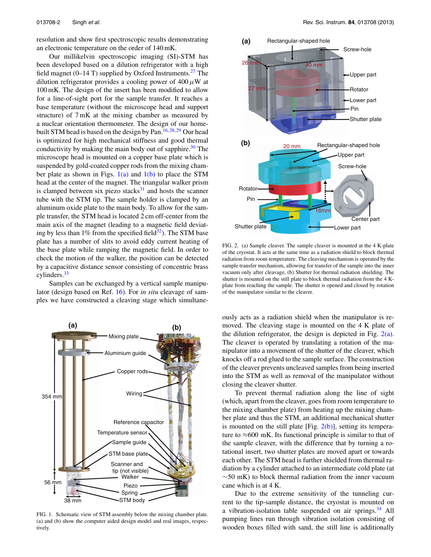resolution and show first spectroscopic results demonstrating an electronic temperature on the order of 140 mK.

Our millikelvin spectroscopic imaging (SI)-STM has been developed based on a dilution refrigerator with a high field magnet (0–14 T) supplied by Oxford Instruments.<sup>27</sup> The dilution refrigerator provides a cooling power of 400*μ*W at 100 mK. The design of the insert has been modified to allow for a line-of-sight port for the sample transfer. It reaches a base temperature (without the microscope head and support structure) of 7 mK at the mixing chamber as measured by a nuclear orientation thermometer. The design of our home-built STM head is based on the design by Pan.<sup>16, [28,](#page-5-16) [29](#page-5-17)</sup> Our head is optimized for high mechanical stiffness and good thermal conductivity by making the main body out of sapphire.<sup>30</sup> The microscope head is mounted on a copper base plate which is suspended by gold-coated copper rods from the mixing chamber plate as shown in Figs.  $1(a)$  and  $1(b)$  to place the STM head at the center of the magnet. The triangular walker prism is clamped between six piezo stacks $31$  and hosts the scanner tube with the STM tip. The sample holder is clamped by an aluminum oxide plate to the main body. To allow for the sample transfer, the STM head is located 2 cm off-center from the main axis of the magnet (leading to a magnetic field deviating by less than 1% from the specified field $32$ ). The STM base plate has a number of slits to avoid eddy current heating of the base plate while ramping the magnetic field. In order to check the motion of the walker, the position can be detected by a capacitive distance sensor consisting of concentric brass cylinders[.33](#page-5-21)

Samples can be exchanged by a vertical sample manipulator (design based on Ref. [16\)](#page-5-7). For *in situ* cleavage of samples we have constructed a cleaving stage which simultane-

FIG. 1. Schematic view of STM assembly below the mixing chamber plate. (a) and (b) show the computer aided design model and real images, respectively.

<span id="page-2-1"></span>

FIG. 2. (a) Sample cleaver. The sample cleaver is mounted at the 4 K-plate of the cryostat. It acts at the same time as a radiation shield to block thermal radiation from room temperature. The cleaving mechanism is operated by the sample transfer mechanism, allowing for transfer of the sample into the inner vacuum only after cleavage, (b) Shutter for thermal radiation shielding. The shutter is mounted on the still plate to block thermal radiation from the 4 Kplate from reaching the sample. The shutter is opened and closed by rotation of the manipulator similar to the cleaver.

ously acts as a radiation shield when the manipulator is removed. The cleaving stage is mounted on the 4 K plate of the dilution refrigerator, the design is depicted in Fig.  $2(a)$ . The cleaver is operated by translating a rotation of the manipulator into a movement of the shutter of the cleaver, which knocks off a rod glued to the sample surface. The construction of the cleaver prevents uncleaved samples from being inserted into the STM as well as removal of the manipulator without closing the cleaver shutter.

To prevent thermal radiation along the line of sight (which, apart from the cleaver, goes from room temperature to the mixing chamber plate) from heating up the mixing chamber plate and thus the STM, an additional mechanical shutter is mounted on the still plate  $[Fig, 2(b)]$  $[Fig, 2(b)]$ , setting its temperature to  $\approx$ 600 mK. Its functional principle is similar to that of the sample cleaver, with the difference that by turning a rotational insert, two shutter plates are moved apart or towards each other. The STM head is further shielded from thermal radiation by a cylinder attached to an intermediate cold plate (at  $\sim$ 50 mK) to block thermal radiation from the inner vacuum cane which is at 4 K.

Due to the extreme sensitivity of the tunneling current to the tip-sample distance, the cryostat is mounted on a vibration-isolation table suspended on air springs. $34$  All pumping lines run through vibration isolation consisting of wooden boxes filled with sand, the still line is additionally

<span id="page-2-0"></span>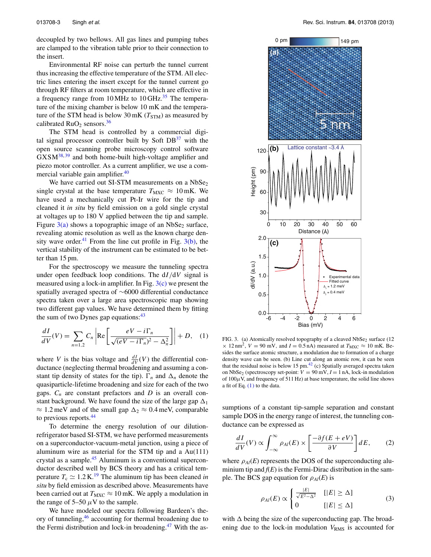decoupled by two bellows. All gas lines and pumping tubes are clamped to the vibration table prior to their connection to the insert.

Environmental RF noise can perturb the tunnel current thus increasing the effective temperature of the STM. All electric lines entering the insert except for the tunnel current go through RF filters at room temperature, which are effective in a frequency range from 10 MHz to 10 GHz.<sup>[35](#page-5-23)</sup> The temperature of the mixing chamber is below 10 mK and the temperature of the STM head is below  $30 \text{ mK}$  ( $T_{\text{STM}}$ ) as measured by calibrated  $RuO<sub>2</sub>$  sensors.<sup>36</sup>

The STM head is controlled by a commercial digital signal processor controller built by Soft  $DB<sup>37</sup>$  with the open source scanning probe microscopy control software GXSM[38,](#page-5-26) [39](#page-5-27) and both home-built high-voltage amplifier and piezo motor controller. As a current amplifier, we use a commercial variable gain amplifier.<sup>40</sup>

We have carried out SI-STM measurements on a  $NbSe<sub>2</sub>$ single crystal at the base temperature  $T_{\text{MXC}} \approx 10 \text{ mK}$ . We have used a mechanically cut Pt-Ir wire for the tip and cleaned it *in situ* by field emission on a gold single crystal at voltages up to 180 V applied between the tip and sample. Figure  $3(a)$  shows a topographic image of an NbSe<sub>2</sub> surface, revealing atomic resolution as well as the known charge den-sity wave order.<sup>[41](#page-5-29)</sup> From the line cut profile in Fig.  $3(b)$ , the vertical stability of the instrument can be estimated to be better than 15 pm.

For the spectroscopy we measure the tunneling spectra under open feedback loop conditions. The d*I/*d*V* signal is measured using a lock-in amplifier. In Fig.  $3(c)$  we present the spatially averaged spectra of ∼6000 differential conductance spectra taken over a large area spectroscopic map showing two different gap values. We have determined them by fitting the sum of two Dynes gap equations: $43$ 

<span id="page-3-1"></span>
$$
\frac{dI}{dV}(V) = \sum_{n=1,2} C_n \left| \text{Re} \left[ \frac{eV - i\Gamma_n}{\sqrt{(eV - i\Gamma_n)^2 - \Delta_n^2}} \right] \right| + D,\quad(1)
$$

where *V* is the bias voltage and  $\frac{dI}{dV}(V)$  the differential conductance (neglecting thermal broadening and assuming a constant tip density of states for the tip).  $\Gamma_n$  and  $\Delta_n$  denote the quasiparticle-lifetime broadening and size for each of the two gaps.  $C_n$  are constant prefactors and  $D$  is an overall constant background. We have found the size of the large gap  $\Delta_1$  $\approx 1.2$  meV and of the small gap  $\Delta_2 \approx 0.4$  meV, comparable to previous reports.<sup>44</sup>

To determine the energy resolution of our dilutionrefrigerator based SI-STM, we have performed measurements on a superconductor-vacuum-metal junction, using a piece of aluminum wire as material for the STM tip and a Au(111) crystal as a sample.<sup>[45](#page-5-32)</sup> Aluminum is a conventional superconductor described well by BCS theory and has a critical temperature  $T_c \simeq 1.2 \text{ K}^{19}$  $T_c \simeq 1.2 \text{ K}^{19}$  $T_c \simeq 1.2 \text{ K}^{19}$  The aluminum tip has been cleaned *in situ* by field emission as described above. Measurements have been carried out at  $T_{\text{MXC}} \approx 10 \text{ mK}$ . We apply a modulation in the range of  $5-50 \mu$ V to the sample.

We have modeled our spectra following Bardeen's theory of tunneling[,46](#page-5-33) accounting for thermal broadening due to the Fermi distribution and lock-in broadening. $47$  With the as-

<span id="page-3-0"></span>

FIG. 3. (a) Atomically resolved topography of a cleaved NbSe<sub>2</sub> surface (12  $\times$  12 nm<sup>2</sup>,  $V = 90$  mV, and  $I = 0.5$  nA) measured at  $T_{\text{MXC}} \approx 10$  mK. Besides the surface atomic structure, a modulation due to formation of a charge density wave can be seen. (b) Line cut along an atomic row, it can be seen that the residual noise is below 15 pm.<sup>42</sup> (c) Spatially averaged spectra taken on NbSe<sub>2</sub> (spectroscopy set-point:  $V = 90$  mV,  $I = 1$  nA, lock-in modulation of  $100\mu$ V, and frequency of 511 Hz) at base temperature, the solid line shows a fit of Eq. [\(1\)](#page-3-1) to the data.

sumptions of a constant tip-sample separation and constant sample DOS in the energy range of interest, the tunneling conductance can be expressed as

<span id="page-3-2"></span>
$$
\frac{dI}{dV}(V) \propto \int_{-\infty}^{\infty} \rho_{Al}(E) \times \left[ \frac{-\partial f(E + eV)}{\partial V} \right] dE, \qquad (2)
$$

where  $\rho_{Al}(E)$  represents the DOS of the superconducting aluminium tip and  $f(E)$  is the Fermi-Dirac distribution in the sample. The BCS gap equation for  $\rho_{Al}(E)$  is

$$
\rho_{Al}(E) \propto \begin{cases} \frac{|E|}{\sqrt{E^2 - \Delta^2}} & [|E| \ge \Delta] \\ 0 & [|E| \le \Delta] \end{cases}
$$
 (3)

with  $\Delta$  being the size of the superconducting gap. The broadening due to the lock-in modulation  $V_{RMS}$  is accounted for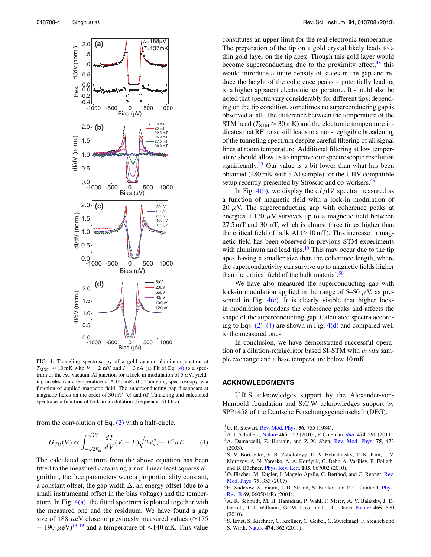<span id="page-4-8"></span>

FIG. 4. Tunneling spectroscopy of a gold-vacuum-aluminum-junction at  $T_{\text{MXC}} \approx 10 \text{ mK}$  with  $V = 2 \text{ mV}$  and  $I = 3 \text{ nA}$  (a) Fit of Eq. [\(4\)](#page-4-7) to a spectrum of the Au-vacuum-Al junction for a lock-in modulation of 5*μ*V, yielding an electronic temperature of  $\approx$ 140 mK. (b) Tunneling spectroscopy as a function of applied magnetic field. The superconducting gap disappears at magnetic fields on the order of 30 mT. (c) and (d) Tunneling and calculated spectra as a function of lock-in modulation (frequency: 511 Hz).

from the convolution of Eq. [\(2\)](#page-3-2) with a half-circle,

<span id="page-4-7"></span>
$$
G_{fit}(V) \propto \int_{-\sqrt{2}V_{ac}}^{\sqrt{2}V_{ac}} \frac{dI}{dV}(V+E)\sqrt{2V_{ac}^2 - E^2}dE.
$$
 (4)

The calculated spectrum from the above equation has been fitted to the measured data using a non-linear least squares algorithm, the free parameters were a proportionality constant, a constant offset, the gap width  $\Delta$ , an energy offset (due to a small instrumental offset in the bias voltage) and the temperature. In Fig.  $4(a)$ , the fitted spectrum is plotted together with the measured one and the residuum. We have found a gap size of 188  $\mu$ eV close to previously measured values ( $\approx$ 175  $- 190 \ \mu\text{eV}$  $- 190 \ \mu\text{eV}$  $- 190 \ \mu\text{eV}$ <sup>[18,](#page-5-8) 19</sup> and a temperature of  $\approx$ 140 mK. This value

constitutes an upper limit for the real electronic temperature. The preparation of the tip on a gold crystal likely leads to a thin gold layer on the tip apex. Though this gold layer would become superconducting due to the proximity effect, <sup>[48](#page-5-36)</sup> this would introduce a finite density of states in the gap and reduce the height of the coherence peaks – potentially leading to a higher apparent electronic temperature. It should also be noted that spectra vary considerably for different tips; depending on the tip condition, sometimes no superconducting gap is observed at all. The difference between the temperature of the STM head ( $T_{\text{STM}} \approx 30 \text{ mK}$ ) and the electronic temperature indicates that RF noise still leads to a non-negligible broadening of the tunneling spectrum despite careful filtering of all signal lines at room temperature. Additional filtering at low temperature should allow us to improve our spectroscopic resolution significantly.<sup>[25](#page-5-11)</sup> Our value is a bit lower than what has been obtained (280 mK with a Al sample) for the UHV-compatible setup recently presented by Stroscio and co-workers.<sup>49</sup>

In Fig. [4\(b\),](#page-4-8) we display the d*I/*d*V* spectra measured as a function of magnetic field with a lock-in modulation of 20  $\mu$ V. The superconducting gap with coherence peaks at energies  $\pm 170 \mu$ V survives up to a magnetic field between 27.5 mT and 30 mT, which is almost three times higher than the critical field of bulk Al ( $\approx$ 10 mT). This increase in magnetic field has been observed in previous STM experiments with aluminum and lead tips. $\frac{19}{2}$  This may occur due to the tip apex having a smaller size than the coherence length, where the superconductivity can survive up to magnetic fields higher than the critical field of the bulk material. $50$ 

We have also measured the superconducting gap with lock-in modulation applied in the range of  $5-50 \mu V$ , as presented in Fig.  $4(c)$ . It is clearly visible that higher lockin modulation broadens the coherence peaks and affects the shape of the superconducting gap. Calculated spectra according to Eqs.  $(2)$ – $(4)$  are shown in Fig. 4 $(d)$  and compared well to the measured ones.

In conclusion, we have demonstrated successful operation of a dilution-refrigerator based SI-STM with *in situ* sample exchange and a base temperature below 10 mK.

## **ACKNOWLEDGMENTS**

U.R.S acknowledges support by the Alexander-von-Humbold foundation and S.C.W acknowledges support by SPP1458 of the Deutsche Forschungsgemeinschaft (DFG).

- <span id="page-4-1"></span><span id="page-4-0"></span>1G. R. Stewart, [Rev. Mod. Phys.](http://dx.doi.org/10.1103/RevModPhys.56.755) **56**, 755 (1984).
- <span id="page-4-2"></span>2A. J. Schofield, [Nature](http://dx.doi.org/10.1038/465553a) **465**, 553 (2010); P. Coleman, *[ibid.](http://dx.doi.org/10.1038/474290a)* **474**, 290 (2011). 3A. Damascelli, Z. Hussain, and Z.-X. Shen, [Rev. Mod. Phys.](http://dx.doi.org/10.1103/RevModPhys.75.473) **75**, 473 (2003).
- <span id="page-4-3"></span>4S. V. Borisenko, V. B. Zabolotnyy, D. V. Evtushinsky, T. K. Kim, I. V. Morozov, A. N. Yaresko, A. A. Kordyuk, G. Behr, A. Vasiliev, R. Follath, and B. Büchner, [Phys. Rev. Lett.](http://dx.doi.org/10.1103/PhysRevLett.105.067002) **105**, 067002 (2010).
- <span id="page-4-4"></span>5Ø. Fischer, M. Kugler, I. Maggio-Aprile, C. Berthod, and C. Renner, [Rev.](http://dx.doi.org/10.1103/RevModPhys.79.353) [Mod. Phys.](http://dx.doi.org/10.1103/RevModPhys.79.353) **79**, 353 (2007).
- <sup>6</sup>H. Suderow, S. Vieira, J. D. Strand, S. Budko, and P. C. Canfield, *[Phys.](http://dx.doi.org/10.1103/PhysRevB.69.060504)* [Rev. B](http://dx.doi.org/10.1103/PhysRevB.69.060504) **69**, 060504(R) (2004).
- <span id="page-4-6"></span>7A. R. Schmidt, M. H. Hamidian, P. Wahl, F. Meier, A. V. Balatsky, J. D. Garrett, T. J. Williams, G. M. Luke, and J. C. Davis, [Nature](http://dx.doi.org/10.1038/nature09073) **465**, 570 (2010).
- <span id="page-4-5"></span>8S. Ernst, S. Kirchner, C. Krellner, C. Geibel, G. Zwicknagl, F. Steglich and S. Wirth, [Nature](http://dx.doi.org/10.1038/nature10148) **474**, 362 (2011).